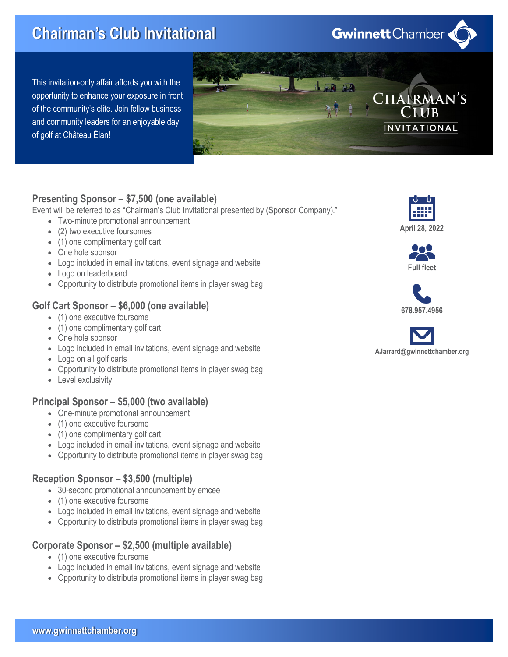# Chairman's Club Invitational

This invitation-only affair affords you with the opportunity to enhance your exposure in front of the community's elite. Join fellow business and community leaders for an enjoyable day of golf at Château Élan!



## Presenting Sponsor – \$7,500 (one available)

Event will be referred to as "Chairman's Club Invitational presented by (Sponsor Company)."

- · Two-minute promotional announcement
- (2) two executive foursomes
- (1) one complimentary golf cart
- · One hole sponsor
- · Logo included in email invitations, event signage and website
- · Logo on leaderboard
- · Opportunity to distribute promotional items in player swag bag

### Golf Cart Sponsor – \$6,000 (one available)

- (1) one executive foursome
- (1) one complimentary golf cart
- · One hole sponsor
- · Logo included in email invitations, event signage and website
- · Logo on all golf carts
- · Opportunity to distribute promotional items in player swag bag
- Level exclusivity

#### Principal Sponsor – \$5,000 (two available)

- · One-minute promotional announcement
- · (1) one executive foursome
- (1) one complimentary golf cart
- Logo included in email invitations, event signage and website
- · Opportunity to distribute promotional items in player swag bag

#### Reception Sponsor – \$3,500 (multiple)

- · 30-second promotional announcement by emcee
- · (1) one executive foursome
- · Logo included in email invitations, event signage and website
- · Opportunity to distribute promotional items in player swag bag

#### Corporate Sponsor – \$2,500 (multiple available)

- (1) one executive foursome
- Logo included in email invitations, event signage and website
- · Opportunity to distribute promotional items in player swag bag



**Gwinnett** Chamber